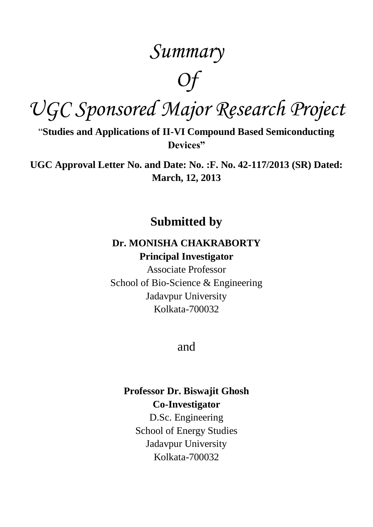## *Summary*

# *Of*

*UGC Sponsored Major Research Project*

"**Studies and Applications of II-VI Compound Based Semiconducting Devices"**

**UGC Approval Letter No. and Date: No. :F. No. 42-117/2013 (SR) Dated: March, 12, 2013**

### **Submitted by**

#### **Dr. MONISHA CHAKRABORTY Principal Investigator**

Associate Professor School of Bio-Science & Engineering Jadavpur University Kolkata-700032

#### and

#### **Professor Dr. Biswajit Ghosh Co-Investigator**

D.Sc. Engineering School of Energy Studies Jadavpur University Kolkata-700032